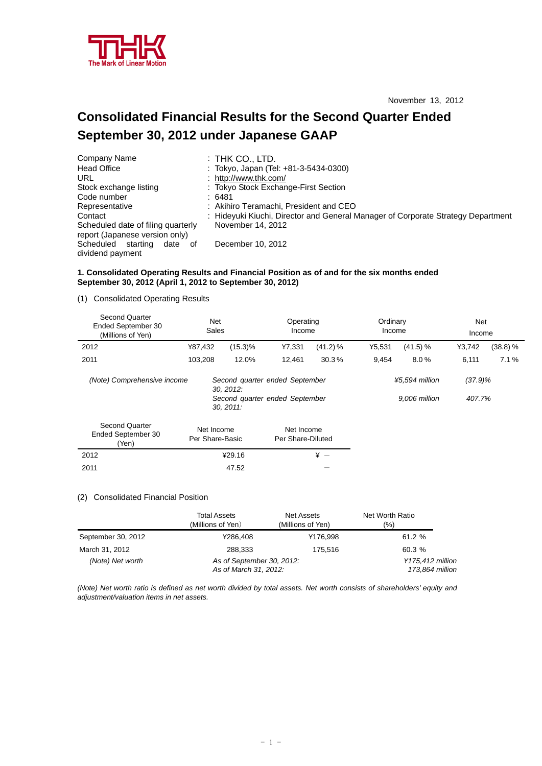

# **Consolidated Financial Results for the Second Quarter Ended September 30, 2012 under Japanese GAAP**

| Company Name                                                         | $:$ Thk Co., LTD.                                                                |
|----------------------------------------------------------------------|----------------------------------------------------------------------------------|
| <b>Head Office</b>                                                   | : Tokyo, Japan (Tel: +81-3-5434-0300)                                            |
| URL                                                                  | http://www.thk.com/                                                              |
| Stock exchange listing                                               | : Tokyo Stock Exchange-First Section                                             |
| Code number                                                          | :6481                                                                            |
| Representative                                                       | : Akihiro Teramachi, President and CEO                                           |
| Contact                                                              | : Hideyuki Kiuchi, Director and General Manager of Corporate Strategy Department |
| Scheduled date of filing quarterly<br>report (Japanese version only) | November 14, 2012                                                                |
| Scheduled<br>starting<br>date of<br>dividend payment                 | December 10, 2012                                                                |

### **1. Consolidated Operating Results and Financial Position as of and for the six months ended September 30, 2012 (April 1, 2012 to September 30, 2012)**

(1) Consolidated Operating Results

| <b>Second Quarter</b><br>Ended September 30<br>(Millions of Yen) | Net<br>Sales                                  |            | Operating<br>Income                                              |            | Ordinary<br>Income |                                 | Net<br>Income        |          |
|------------------------------------------------------------------|-----------------------------------------------|------------|------------------------------------------------------------------|------------|--------------------|---------------------------------|----------------------|----------|
| 2012                                                             | ¥87,432                                       | $(15.3)\%$ | ¥7,331                                                           | (41.2) %   | ¥5,531             | (41.5) %                        | ¥3,742               | (38.8) % |
| 2011                                                             | 103,208                                       | 12.0%      | 12,461                                                           | 30.3%      | 9,454              | 8.0%                            | 6,111                | 7.1%     |
| (Note) Comprehensive income                                      | 30, 2012:                                     |            | Second quarter ended September<br>Second quarter ended September |            |                    | ¥5.594 million<br>9.006 million | $(37.9)\%$<br>407.7% |          |
| <b>Second Quarter</b><br>Ended September 30<br>(Yen)             | $30, 2011$ :<br>Net Income<br>Per Share-Basic |            | Net Income<br>Per Share-Diluted                                  |            |                    |                                 |                      |          |
| 2012                                                             |                                               | ¥29.16     |                                                                  | $\angle +$ |                    |                                 |                      |          |
| 2011                                                             |                                               | 47.52      |                                                                  |            |                    |                                 |                      |          |

#### (2) Consolidated Financial Position

|                    | Total Assets<br>(Millions of Yen)                  | Net Assets<br>(Millions of Yen) | Net Worth Ratio<br>(%)              |  |
|--------------------|----------------------------------------------------|---------------------------------|-------------------------------------|--|
| September 30, 2012 | ¥286.408                                           | ¥176.998                        | 61.2%                               |  |
| March 31, 2012     | 288.333                                            | 175.516                         | 60.3 %                              |  |
| (Note) Net worth   | As of September 30, 2012:<br>As of March 31, 2012: |                                 | ¥175,412 million<br>173,864 million |  |

*(Note) Net worth ratio is defined as net worth divided by total assets. Net worth consists of shareholders' equity and adjustment/valuation items in net assets.*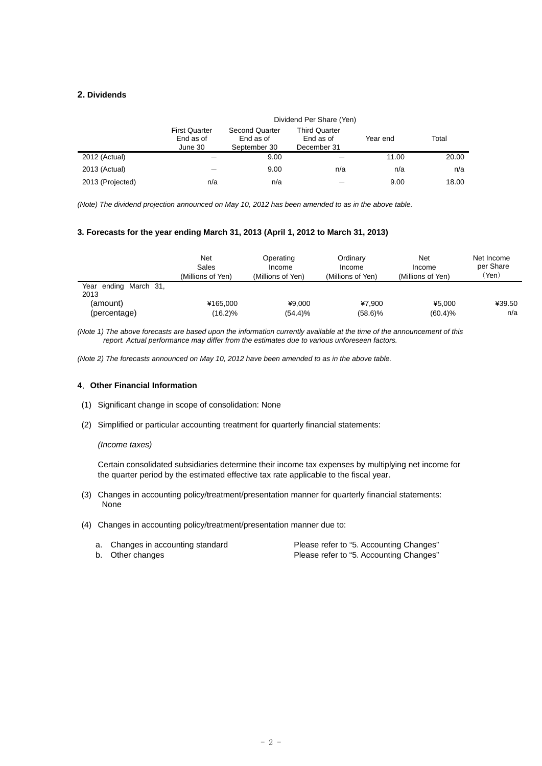## **2. Dividends**

|                  | Dividend Per Share (Yen)                     |                                                    |                                                  |          |       |
|------------------|----------------------------------------------|----------------------------------------------------|--------------------------------------------------|----------|-------|
|                  | <b>First Quarter</b><br>End as of<br>June 30 | <b>Second Quarter</b><br>End as of<br>September 30 | <b>Third Quarter</b><br>End as of<br>December 31 | Year end | Total |
| 2012 (Actual)    |                                              | 9.00                                               |                                                  | 11.00    | 20.00 |
| 2013 (Actual)    |                                              | 9.00                                               | n/a                                              | n/a      | n/a   |
| 2013 (Projected) | n/a                                          | n/a                                                |                                                  | 9.00     | 18.00 |

*(Note) The dividend projection announced on May 10, 2012 has been amended to as in the above table.* 

#### **3. Forecasts for the year ending March 31, 2013 (April 1, 2012 to March 31, 2013)**

|                               | Net<br>Sales<br>(Millions of Yen) | Operating<br>Income<br>(Millions of Yen) | Ordinary<br>Income<br>(Millions of Yen) | Net<br>Income<br>(Millions of Yen) | Net Income<br>per Share<br>'Yen) |
|-------------------------------|-----------------------------------|------------------------------------------|-----------------------------------------|------------------------------------|----------------------------------|
| Year ending March 31,<br>2013 |                                   |                                          |                                         |                                    |                                  |
| (amount)                      | ¥165.000                          | ¥9.000                                   | ¥7.900                                  | ¥5.000                             | ¥39.50                           |
| (percentage)                  | (16.2)%                           | (54.4)%                                  | $(58.6)\%$                              | (60.4)%                            | n/a                              |

*(Note 1) The above forecasts are based upon the information currently available at the time of the announcement of this report. Actual performance may differ from the estimates due to various unforeseen factors.* 

*(Note 2) The forecasts announced on May 10, 2012 have been amended to as in the above table.* 

### **4**.**Other Financial Information**

- (1) Significant change in scope of consolidation: None
- (2) Simplified or particular accounting treatment for quarterly financial statements:

#### *(Income taxes)*

Certain consolidated subsidiaries determine their income tax expenses by multiplying net income for the quarter period by the estimated effective tax rate applicable to the fiscal year.

- (3) Changes in accounting policy/treatment/presentation manner for quarterly financial statements: None
- (4) Changes in accounting policy/treatment/presentation manner due to:

| a. Changes in accounting standard | Please refer to "5. Accounting Changes" |
|-----------------------------------|-----------------------------------------|
| b. Other changes                  | Please refer to "5. Accounting Changes" |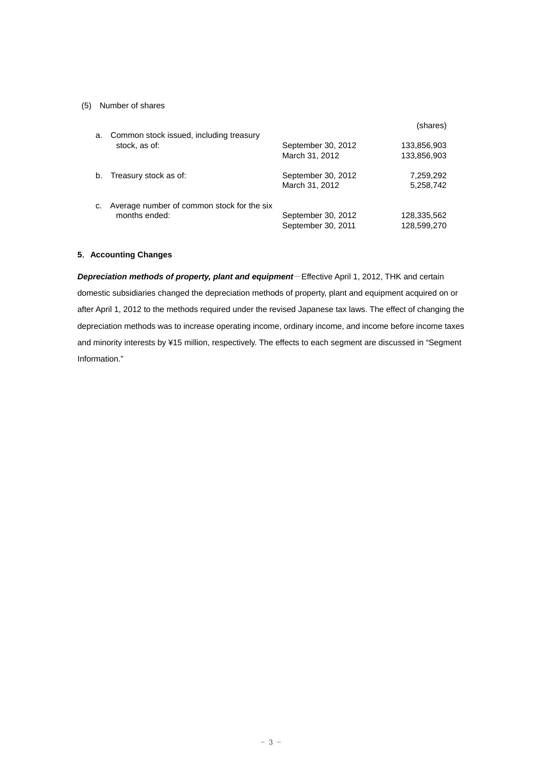## (5) Number of shares

| a. | Common stock issued, including treasury                     |                                          | (shares)                   |
|----|-------------------------------------------------------------|------------------------------------------|----------------------------|
|    | stock, as of:                                               | September 30, 2012<br>March 31, 2012     | 133,856,903<br>133,856,903 |
| b. | Treasury stock as of:                                       | September 30, 2012<br>March 31, 2012     | 7,259,292<br>5,258,742     |
| C. | Average number of common stock for the six<br>months ended: | September 30, 2012<br>September 30, 2011 | 128,335,562<br>128,599,270 |

### **5**.**Accounting Changes**

*Depreciation methods of property, plant and equipment*-Effective April 1, 2012, THK and certain domestic subsidiaries changed the depreciation methods of property, plant and equipment acquired on or after April 1, 2012 to the methods required under the revised Japanese tax laws. The effect of changing the depreciation methods was to increase operating income, ordinary income, and income before income taxes and minority interests by ¥15 million, respectively. The effects to each segment are discussed in "Segment Information."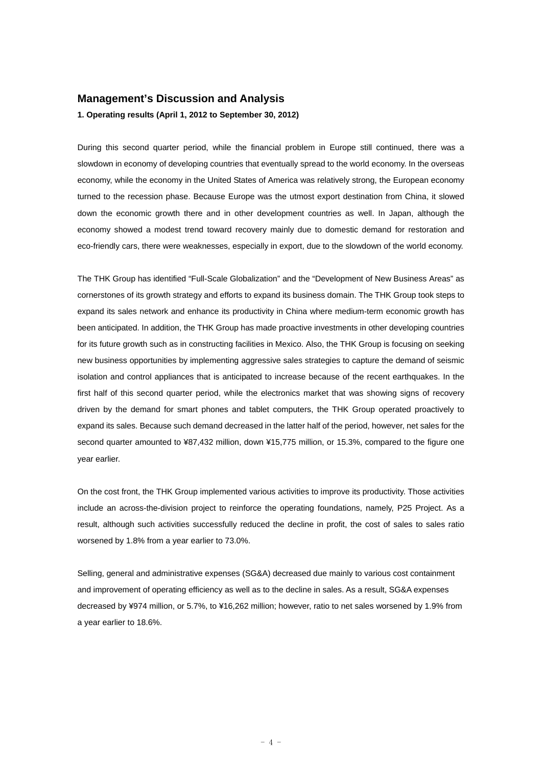# **Management's Discussion and Analysis**

**1. Operating results (April 1, 2012 to September 30, 2012)** 

During this second quarter period, while the financial problem in Europe still continued, there was a slowdown in economy of developing countries that eventually spread to the world economy. In the overseas economy, while the economy in the United States of America was relatively strong, the European economy turned to the recession phase. Because Europe was the utmost export destination from China, it slowed down the economic growth there and in other development countries as well. In Japan, although the economy showed a modest trend toward recovery mainly due to domestic demand for restoration and eco-friendly cars, there were weaknesses, especially in export, due to the slowdown of the world economy.

The THK Group has identified "Full-Scale Globalization" and the "Development of New Business Areas" as cornerstones of its growth strategy and efforts to expand its business domain. The THK Group took steps to expand its sales network and enhance its productivity in China where medium-term economic growth has been anticipated. In addition, the THK Group has made proactive investments in other developing countries for its future growth such as in constructing facilities in Mexico. Also, the THK Group is focusing on seeking new business opportunities by implementing aggressive sales strategies to capture the demand of seismic isolation and control appliances that is anticipated to increase because of the recent earthquakes. In the first half of this second quarter period, while the electronics market that was showing signs of recovery driven by the demand for smart phones and tablet computers, the THK Group operated proactively to expand its sales. Because such demand decreased in the latter half of the period, however, net sales for the second quarter amounted to ¥87,432 million, down ¥15,775 million, or 15.3%, compared to the figure one year earlier.

On the cost front, the THK Group implemented various activities to improve its productivity. Those activities include an across-the-division project to reinforce the operating foundations, namely, P25 Project. As a result, although such activities successfully reduced the decline in profit, the cost of sales to sales ratio worsened by 1.8% from a year earlier to 73.0%.

Selling, general and administrative expenses (SG&A) decreased due mainly to various cost containment and improvement of operating efficiency as well as to the decline in sales. As a result, SG&A expenses decreased by ¥974 million, or 5.7%, to ¥16,262 million; however, ratio to net sales worsened by 1.9% from a year earlier to 18.6%.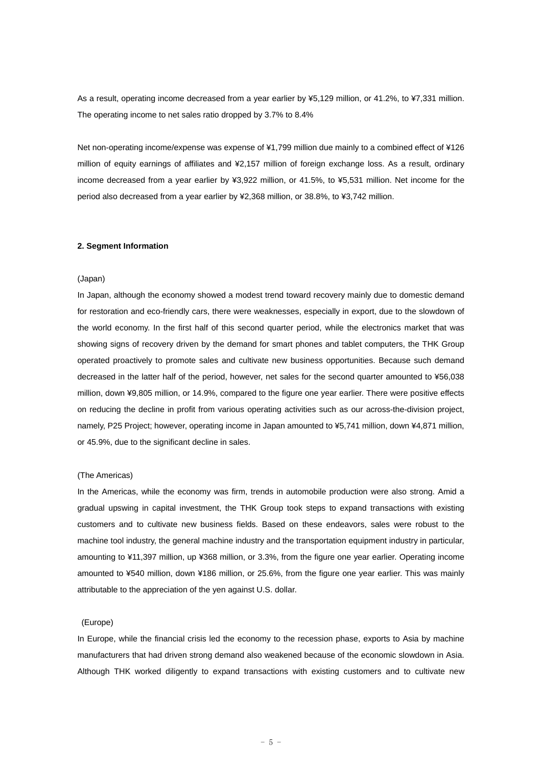As a result, operating income decreased from a year earlier by ¥5,129 million, or 41.2%, to ¥7,331 million. The operating income to net sales ratio dropped by 3.7% to 8.4%

Net non-operating income/expense was expense of ¥1,799 million due mainly to a combined effect of ¥126 million of equity earnings of affiliates and ¥2,157 million of foreign exchange loss. As a result, ordinary income decreased from a year earlier by ¥3,922 million, or 41.5%, to ¥5,531 million. Net income for the period also decreased from a year earlier by ¥2,368 million, or 38.8%, to ¥3,742 million.

#### **2. Segment Information**

#### (Japan)

In Japan, although the economy showed a modest trend toward recovery mainly due to domestic demand for restoration and eco-friendly cars, there were weaknesses, especially in export, due to the slowdown of the world economy. In the first half of this second quarter period, while the electronics market that was showing signs of recovery driven by the demand for smart phones and tablet computers, the THK Group operated proactively to promote sales and cultivate new business opportunities. Because such demand decreased in the latter half of the period, however, net sales for the second quarter amounted to ¥56,038 million, down ¥9,805 million, or 14.9%, compared to the figure one year earlier. There were positive effects on reducing the decline in profit from various operating activities such as our across-the-division project, namely, P25 Project; however, operating income in Japan amounted to ¥5,741 million, down ¥4,871 million, or 45.9%, due to the significant decline in sales.

#### (The Americas)

In the Americas, while the economy was firm, trends in automobile production were also strong. Amid a gradual upswing in capital investment, the THK Group took steps to expand transactions with existing customers and to cultivate new business fields. Based on these endeavors, sales were robust to the machine tool industry, the general machine industry and the transportation equipment industry in particular, amounting to ¥11,397 million, up ¥368 million, or 3.3%, from the figure one year earlier. Operating income amounted to ¥540 million, down ¥186 million, or 25.6%, from the figure one year earlier. This was mainly attributable to the appreciation of the yen against U.S. dollar.

#### (Europe)

In Europe, while the financial crisis led the economy to the recession phase, exports to Asia by machine manufacturers that had driven strong demand also weakened because of the economic slowdown in Asia. Although THK worked diligently to expand transactions with existing customers and to cultivate new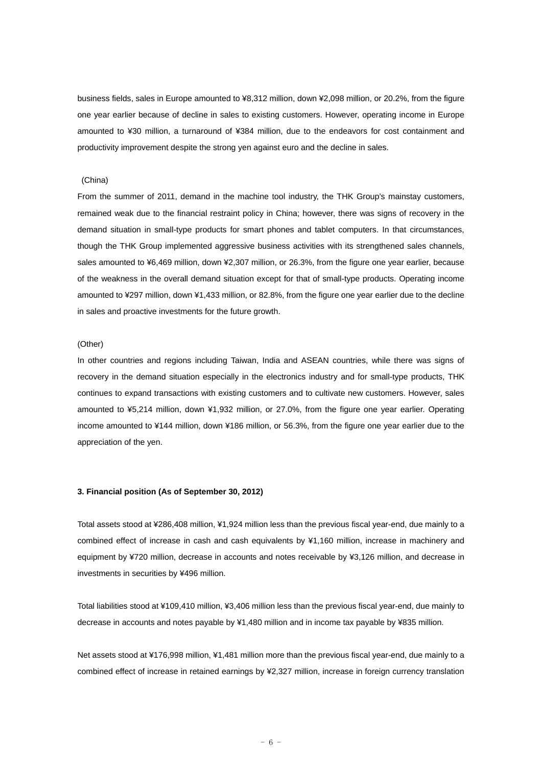business fields, sales in Europe amounted to ¥8,312 million, down ¥2,098 million, or 20.2%, from the figure one year earlier because of decline in sales to existing customers. However, operating income in Europe amounted to ¥30 million, a turnaround of ¥384 million, due to the endeavors for cost containment and productivity improvement despite the strong yen against euro and the decline in sales.

#### (China)

From the summer of 2011, demand in the machine tool industry, the THK Group's mainstay customers, remained weak due to the financial restraint policy in China; however, there was signs of recovery in the demand situation in small-type products for smart phones and tablet computers. In that circumstances, though the THK Group implemented aggressive business activities with its strengthened sales channels, sales amounted to ¥6,469 million, down ¥2,307 million, or 26.3%, from the figure one year earlier, because of the weakness in the overall demand situation except for that of small-type products. Operating income amounted to ¥297 million, down ¥1,433 million, or 82.8%, from the figure one year earlier due to the decline in sales and proactive investments for the future growth.

#### (Other)

In other countries and regions including Taiwan, India and ASEAN countries, while there was signs of recovery in the demand situation especially in the electronics industry and for small-type products, THK continues to expand transactions with existing customers and to cultivate new customers. However, sales amounted to ¥5,214 million, down ¥1,932 million, or 27.0%, from the figure one year earlier. Operating income amounted to ¥144 million, down ¥186 million, or 56.3%, from the figure one year earlier due to the appreciation of the yen.

#### **3. Financial position (As of September 30, 2012)**

Total assets stood at ¥286,408 million, ¥1,924 million less than the previous fiscal year-end, due mainly to a combined effect of increase in cash and cash equivalents by ¥1,160 million, increase in machinery and equipment by ¥720 million, decrease in accounts and notes receivable by ¥3,126 million, and decrease in investments in securities by ¥496 million.

Total liabilities stood at ¥109,410 million, ¥3,406 million less than the previous fiscal year-end, due mainly to decrease in accounts and notes payable by ¥1,480 million and in income tax payable by ¥835 million.

Net assets stood at ¥176,998 million, ¥1,481 million more than the previous fiscal year-end, due mainly to a combined effect of increase in retained earnings by ¥2,327 million, increase in foreign currency translation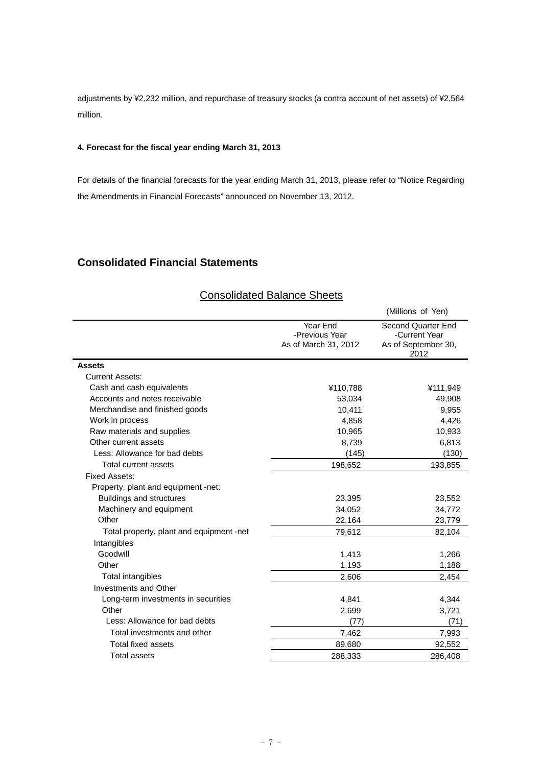adjustments by ¥2,232 million, and repurchase of treasury stocks (a contra account of net assets) of ¥2,564 million.

# **4. Forecast for the fiscal year ending March 31, 2013**

For details of the financial forecasts for the year ending March 31, 2013, please refer to "Notice Regarding the Amendments in Financial Forecasts" announced on November 13, 2012.

# **Consolidated Financial Statements**

|                                          |                                                    | (Millions of Yen)                                                  |
|------------------------------------------|----------------------------------------------------|--------------------------------------------------------------------|
|                                          | Year End<br>-Previous Year<br>As of March 31, 2012 | Second Quarter End<br>-Current Year<br>As of September 30,<br>2012 |
| <b>Assets</b>                            |                                                    |                                                                    |
| <b>Current Assets:</b>                   |                                                    |                                                                    |
| Cash and cash equivalents                | ¥110,788                                           | ¥111,949                                                           |
| Accounts and notes receivable            | 53,034                                             | 49,908                                                             |
| Merchandise and finished goods           | 10,411                                             | 9,955                                                              |
| Work in process                          | 4,858                                              | 4,426                                                              |
| Raw materials and supplies               | 10,965                                             | 10,933                                                             |
| Other current assets                     | 8,739                                              | 6,813                                                              |
| Less: Allowance for bad debts            | (145)                                              | (130)                                                              |
| Total current assets                     | 198,652                                            | 193,855                                                            |
| <b>Fixed Assets:</b>                     |                                                    |                                                                    |
| Property, plant and equipment -net:      |                                                    |                                                                    |
| <b>Buildings and structures</b>          | 23,395                                             | 23,552                                                             |
| Machinery and equipment                  | 34,052                                             | 34,772                                                             |
| Other                                    | 22,164                                             | 23,779                                                             |
| Total property, plant and equipment -net | 79,612                                             | 82,104                                                             |
| Intangibles                              |                                                    |                                                                    |
| Goodwill                                 | 1,413                                              | 1,266                                                              |
| Other                                    | 1,193                                              | 1,188                                                              |
| <b>Total intangibles</b>                 | 2,606                                              | 2,454                                                              |
| Investments and Other                    |                                                    |                                                                    |
| Long-term investments in securities      | 4,841                                              | 4,344                                                              |
| Other                                    | 2,699                                              | 3,721                                                              |
| Less: Allowance for bad debts            | (77)                                               | (71)                                                               |
| Total investments and other              | 7,462                                              | 7,993                                                              |
| <b>Total fixed assets</b>                | 89,680                                             | 92,552                                                             |
| <b>Total assets</b>                      | 288,333                                            | 286.408                                                            |

# Consolidated Balance Sheets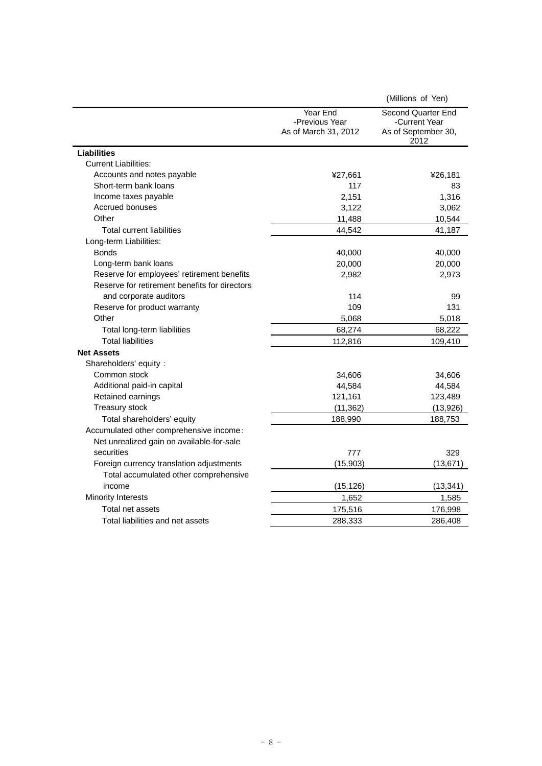|                                               |                                                    | (Millions of Yen)                                                  |
|-----------------------------------------------|----------------------------------------------------|--------------------------------------------------------------------|
|                                               | Year End<br>-Previous Year<br>As of March 31, 2012 | Second Quarter End<br>-Current Year<br>As of September 30,<br>2012 |
| <b>Liabilities</b>                            |                                                    |                                                                    |
| <b>Current Liabilities:</b>                   |                                                    |                                                                    |
| Accounts and notes payable                    | ¥27,661                                            | ¥26,181                                                            |
| Short-term bank loans                         | 117                                                | 83                                                                 |
| Income taxes payable                          | 2,151                                              | 1,316                                                              |
| Accrued bonuses                               | 3,122                                              | 3,062                                                              |
| Other                                         | 11,488                                             | 10,544                                                             |
| <b>Total current liabilities</b>              | 44,542                                             | 41,187                                                             |
| Long-term Liabilities:                        |                                                    |                                                                    |
| <b>Bonds</b>                                  | 40,000                                             | 40,000                                                             |
| Long-term bank loans                          | 20,000                                             | 20,000                                                             |
| Reserve for employees' retirement benefits    | 2,982                                              | 2,973                                                              |
| Reserve for retirement benefits for directors |                                                    |                                                                    |
| and corporate auditors                        | 114                                                | 99                                                                 |
| Reserve for product warranty                  | 109                                                | 131                                                                |
| Other                                         | 5,068                                              | 5,018                                                              |
| Total long-term liabilities                   | 68,274                                             | 68,222                                                             |
| <b>Total liabilities</b>                      | 112,816                                            | 109,410                                                            |
| <b>Net Assets</b>                             |                                                    |                                                                    |
| Shareholders' equity:                         |                                                    |                                                                    |
| Common stock                                  | 34,606                                             | 34,606                                                             |
| Additional paid-in capital                    | 44,584                                             | 44,584                                                             |
| Retained earnings                             | 121,161                                            | 123,489                                                            |
| <b>Treasury stock</b>                         | (11, 362)                                          | (13,926)                                                           |
| Total shareholders' equity                    | 188,990                                            | 188,753                                                            |
| Accumulated other comprehensive income:       |                                                    |                                                                    |
| Net unrealized gain on available-for-sale     |                                                    |                                                                    |
| securities                                    | 777                                                | 329                                                                |
| Foreign currency translation adjustments      | (15, 903)                                          | (13, 671)                                                          |
| Total accumulated other comprehensive         |                                                    |                                                                    |
| income                                        | (15, 126)                                          | (13, 341)                                                          |
| <b>Minority Interests</b>                     | 1,652                                              | 1,585                                                              |
| Total net assets                              | 175,516                                            | 176,998                                                            |
| Total liabilities and net assets              | 288,333                                            | 286,408                                                            |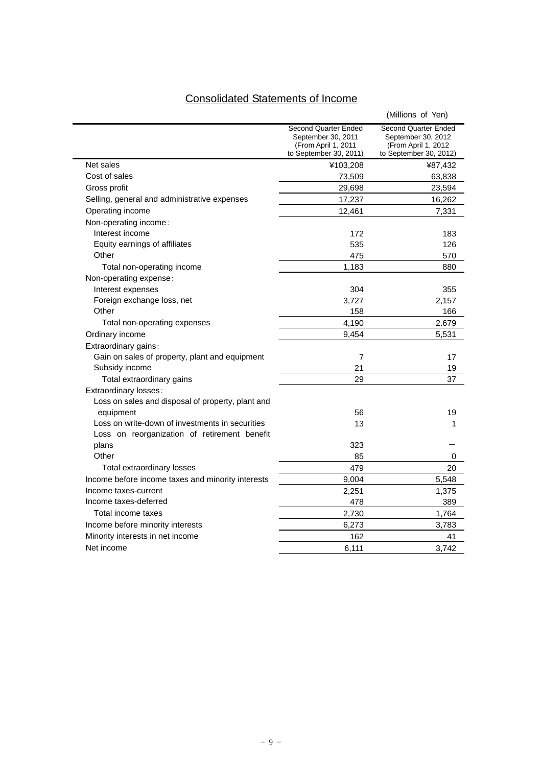# Consolidated Statements of Income

|                                                   |                                                                                             | (Millions of Yen)                                                                            |
|---------------------------------------------------|---------------------------------------------------------------------------------------------|----------------------------------------------------------------------------------------------|
|                                                   | Second Quarter Ended<br>September 30, 2011<br>(From April 1, 2011<br>to September 30, 2011) | Second Quarter Ended<br>September 30, 2012<br>(From April 1, 2012)<br>to September 30, 2012) |
| Net sales                                         | ¥103,208                                                                                    | ¥87,432                                                                                      |
| Cost of sales                                     | 73,509                                                                                      | 63,838                                                                                       |
| Gross profit                                      | 29,698                                                                                      | 23,594                                                                                       |
| Selling, general and administrative expenses      | 17,237                                                                                      | 16,262                                                                                       |
| Operating income                                  | 12,461                                                                                      | 7,331                                                                                        |
| Non-operating income:                             |                                                                                             |                                                                                              |
| Interest income                                   | 172                                                                                         | 183                                                                                          |
| Equity earnings of affiliates                     | 535                                                                                         | 126                                                                                          |
| Other                                             | 475                                                                                         | 570                                                                                          |
| Total non-operating income                        | 1,183                                                                                       | 880                                                                                          |
| Non-operating expense:                            |                                                                                             |                                                                                              |
| Interest expenses                                 | 304                                                                                         | 355                                                                                          |
| Foreign exchange loss, net                        | 3,727                                                                                       | 2,157                                                                                        |
| Other                                             | 158                                                                                         | 166                                                                                          |
| Total non-operating expenses                      | 4,190                                                                                       | 2.679                                                                                        |
| Ordinary income                                   | 9,454                                                                                       | 5,531                                                                                        |
| Extraordinary gains:                              |                                                                                             |                                                                                              |
| Gain on sales of property, plant and equipment    | 7                                                                                           | 17                                                                                           |
| Subsidy income                                    | 21                                                                                          | 19                                                                                           |
| Total extraordinary gains                         | 29                                                                                          | 37                                                                                           |
| Extraordinary losses:                             |                                                                                             |                                                                                              |
| Loss on sales and disposal of property, plant and |                                                                                             |                                                                                              |
| equipment                                         | 56                                                                                          | 19                                                                                           |
| Loss on write-down of investments in securities   | 13                                                                                          | 1                                                                                            |
| Loss on reorganization of retirement benefit      |                                                                                             |                                                                                              |
| plans                                             | 323                                                                                         |                                                                                              |
| Other                                             | 85                                                                                          | 0                                                                                            |
| Total extraordinary losses                        | 479                                                                                         | 20                                                                                           |
| Income before income taxes and minority interests | 9,004                                                                                       | 5,548                                                                                        |
| Income taxes-current                              | 2,251                                                                                       | 1,375                                                                                        |
| Income taxes-deferred                             | 478                                                                                         | 389                                                                                          |
| Total income taxes                                | 2,730                                                                                       | 1,764                                                                                        |
| Income before minority interests                  | 6,273                                                                                       | 3,783                                                                                        |
| Minority interests in net income                  | 162                                                                                         | 41                                                                                           |
| Net income                                        | 6.111                                                                                       | 3.742                                                                                        |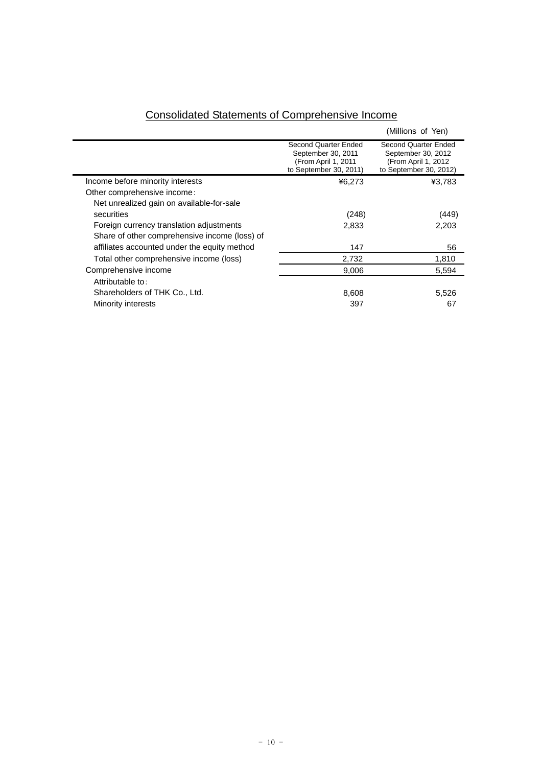|                                               |                                                                                             | (Millions of Yen)                                                                            |
|-----------------------------------------------|---------------------------------------------------------------------------------------------|----------------------------------------------------------------------------------------------|
|                                               | Second Quarter Ended<br>September 30, 2011<br>(From April 1, 2011<br>to September 30, 2011) | Second Quarter Ended<br>September 30, 2012<br>(From April 1, 2012)<br>to September 30, 2012) |
| Income before minority interests              | ¥6,273                                                                                      | ¥3,783                                                                                       |
| Other comprehensive income:                   |                                                                                             |                                                                                              |
| Net unrealized gain on available-for-sale     |                                                                                             |                                                                                              |
| securities                                    | (248)                                                                                       | (449)                                                                                        |
| Foreign currency translation adjustments      | 2,833                                                                                       | 2.203                                                                                        |
| Share of other comprehensive income (loss) of |                                                                                             |                                                                                              |
| affiliates accounted under the equity method  | 147                                                                                         | 56                                                                                           |
| Total other comprehensive income (loss)       | 2,732                                                                                       | 1,810                                                                                        |
| Comprehensive income                          | 9,006                                                                                       | 5,594                                                                                        |
| Attributable to:                              |                                                                                             |                                                                                              |
| Shareholders of THK Co., Ltd.                 | 8,608                                                                                       | 5,526                                                                                        |
| Minority interests                            | 397                                                                                         | 67                                                                                           |

# Consolidated Statements of Comprehensive Income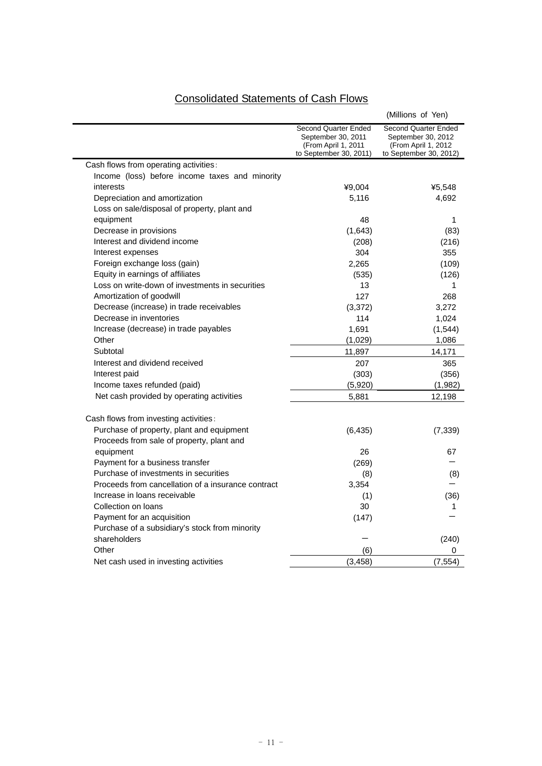# Consolidated Statements of Cash Flows

|                                                                                        |                                                                                             | (Millions of Yen)                                                                            |
|----------------------------------------------------------------------------------------|---------------------------------------------------------------------------------------------|----------------------------------------------------------------------------------------------|
|                                                                                        | Second Quarter Ended<br>September 30, 2011<br>(From April 1, 2011<br>to September 30, 2011) | Second Quarter Ended<br>September 30, 2012<br>(From April 1, 2012)<br>to September 30, 2012) |
| Cash flows from operating activities:                                                  |                                                                                             |                                                                                              |
| Income (loss) before income taxes and minority                                         |                                                                                             |                                                                                              |
| interests                                                                              | ¥9,004                                                                                      | ¥5,548                                                                                       |
| Depreciation and amortization                                                          | 5,116                                                                                       | 4,692                                                                                        |
| Loss on sale/disposal of property, plant and                                           |                                                                                             |                                                                                              |
| equipment                                                                              | 48                                                                                          | 1                                                                                            |
| Decrease in provisions                                                                 | (1,643)                                                                                     | (83)                                                                                         |
| Interest and dividend income                                                           | (208)                                                                                       | (216)                                                                                        |
| Interest expenses                                                                      | 304                                                                                         | 355                                                                                          |
| Foreign exchange loss (gain)                                                           | 2,265                                                                                       | (109)                                                                                        |
| Equity in earnings of affiliates                                                       | (535)                                                                                       | (126)                                                                                        |
| Loss on write-down of investments in securities                                        | 13                                                                                          | 1                                                                                            |
| Amortization of goodwill                                                               | 127                                                                                         | 268                                                                                          |
| Decrease (increase) in trade receivables                                               | (3, 372)                                                                                    | 3,272                                                                                        |
| Decrease in inventories                                                                | 114                                                                                         | 1,024                                                                                        |
| Increase (decrease) in trade payables                                                  | 1,691                                                                                       | (1,544)                                                                                      |
| Other                                                                                  | (1,029)                                                                                     | 1,086                                                                                        |
| Subtotal                                                                               | 11,897                                                                                      | 14,171                                                                                       |
| Interest and dividend received                                                         | 207                                                                                         | 365                                                                                          |
| Interest paid                                                                          | (303)                                                                                       | (356)                                                                                        |
| Income taxes refunded (paid)                                                           | (5,920)                                                                                     | (1,982)                                                                                      |
| Net cash provided by operating activities                                              | 5,881                                                                                       | 12,198                                                                                       |
| Cash flows from investing activities:                                                  |                                                                                             |                                                                                              |
| Purchase of property, plant and equipment<br>Proceeds from sale of property, plant and | (6, 435)                                                                                    | (7, 339)                                                                                     |
| equipment                                                                              | 26                                                                                          | 67                                                                                           |
| Payment for a business transfer                                                        | (269)                                                                                       |                                                                                              |
| Purchase of investments in securities                                                  | (8)                                                                                         | (8)                                                                                          |
| Proceeds from cancellation of a insurance contract                                     | 3,354                                                                                       |                                                                                              |
| Increase in loans receivable                                                           | (1)                                                                                         | (36)                                                                                         |
| Collection on loans                                                                    | 30                                                                                          | 1                                                                                            |
| Payment for an acquisition                                                             | (147)                                                                                       |                                                                                              |
| Purchase of a subsidiary's stock from minority                                         |                                                                                             |                                                                                              |
| shareholders                                                                           |                                                                                             | (240)                                                                                        |
| Other                                                                                  | (6)                                                                                         | 0                                                                                            |
| Net cash used in investing activities                                                  | (3, 458)                                                                                    | (7, 554)                                                                                     |
|                                                                                        |                                                                                             |                                                                                              |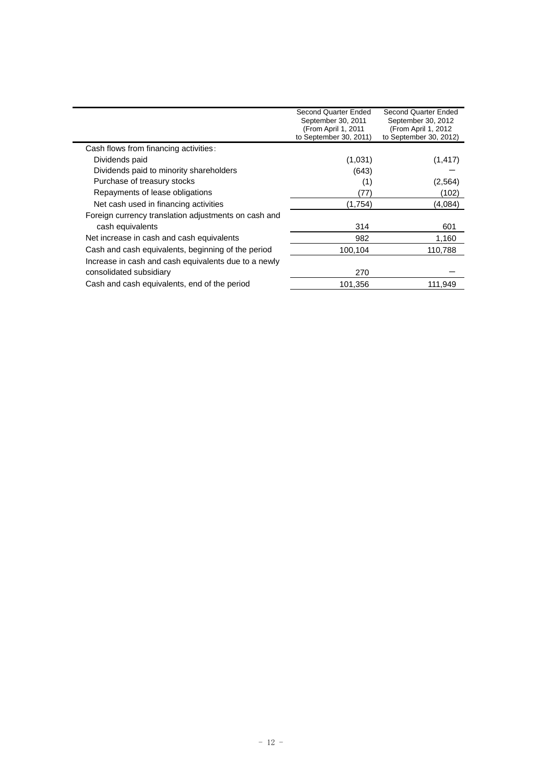|                                                      | Second Quarter Ended<br>September 30, 2011<br>(From April 1, 2011 | Second Quarter Ended<br>September 30, 2012<br>(From April 1, 2012) |
|------------------------------------------------------|-------------------------------------------------------------------|--------------------------------------------------------------------|
|                                                      | to September 30, 2011)                                            | to September 30, 2012)                                             |
| Cash flows from financing activities:                |                                                                   |                                                                    |
| Dividends paid                                       | (1,031)                                                           | (1, 417)                                                           |
| Dividends paid to minority shareholders              | (643)                                                             |                                                                    |
| Purchase of treasury stocks                          | (1)                                                               | (2, 564)                                                           |
| Repayments of lease obligations                      | (77)                                                              | (102)                                                              |
| Net cash used in financing activities                | (1,754)                                                           | (4,084)                                                            |
| Foreign currency translation adjustments on cash and |                                                                   |                                                                    |
| cash equivalents                                     | 314                                                               | 601                                                                |
| Net increase in cash and cash equivalents            | 982                                                               | 1,160                                                              |
| Cash and cash equivalents, beginning of the period   | 100,104                                                           | 110,788                                                            |
| Increase in cash and cash equivalents due to a newly |                                                                   |                                                                    |
| consolidated subsidiary                              | 270                                                               |                                                                    |
| Cash and cash equivalents, end of the period         | 101,356                                                           | 111,949                                                            |
|                                                      |                                                                   |                                                                    |